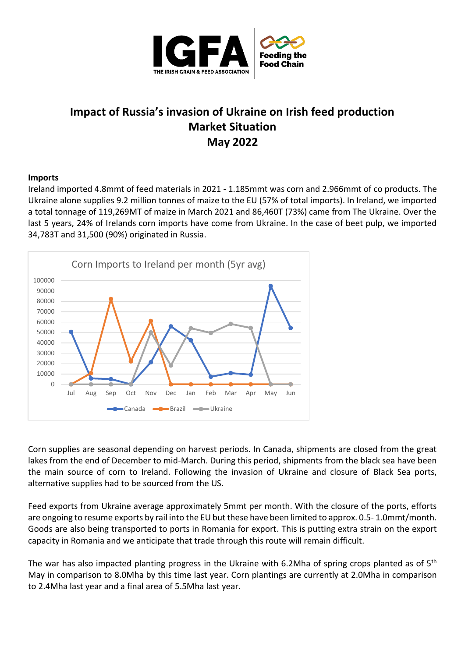

# **Impact of Russia's invasion of Ukraine on Irish feed production Market Situation May 2022**

# **Imports**

Ireland imported 4.8mmt of feed materials in 2021 - 1.185mmt was corn and 2.966mmt of co products. The Ukraine alone supplies 9.2 million tonnes of maize to the EU (57% of total imports). In Ireland, we imported a total tonnage of 119,269MT of maize in March 2021 and 86,460T (73%) came from The Ukraine. Over the last 5 years, 24% of Irelands corn imports have come from Ukraine. In the case of beet pulp, we imported 34,783T and 31,500 (90%) originated in Russia.



Corn supplies are seasonal depending on harvest periods. In Canada, shipments are closed from the great lakes from the end of December to mid-March. During this period, shipments from the black sea have been the main source of corn to Ireland. Following the invasion of Ukraine and closure of Black Sea ports, alternative supplies had to be sourced from the US.

Feed exports from Ukraine average approximately 5mmt per month. With the closure of the ports, efforts are ongoing to resume exports by rail into the EU but these have been limited to approx. 0.5- 1.0mmt/month. Goods are also being transported to ports in Romania for export. This is putting extra strain on the export capacity in Romania and we anticipate that trade through this route will remain difficult.

The war has also impacted planting progress in the Ukraine with 6.2Mha of spring crops planted as of 5<sup>th</sup> May in comparison to 8.0Mha by this time last year. Corn plantings are currently at 2.0Mha in comparison to 2.4Mha last year and a final area of 5.5Mha last year.